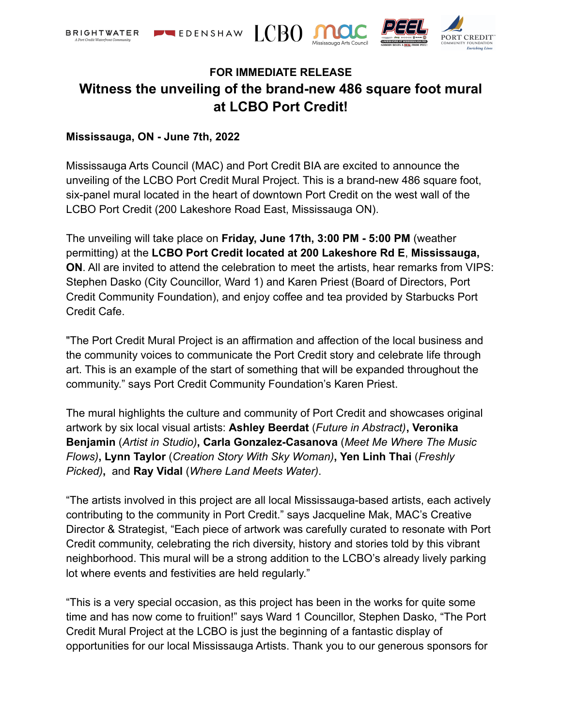

# **FOR IMMEDIATE RELEASE Witness the unveiling of the brand-new 486 square foot mural at LCBO Port Credit!**

## **Mississauga, ON - June 7th, 2022**

Mississauga Arts Council (MAC) and Port Credit BIA are excited to announce the unveiling of the LCBO Port Credit Mural Project. This is a brand-new 486 square foot, six-panel mural located in the heart of downtown Port Credit on the west wall of the LCBO Port Credit (200 Lakeshore Road East, Mississauga ON).

The unveiling will take place on **Friday, June 17th, 3:00 PM - 5:00 PM** (weather permitting) at the **LCBO Port Credit located at 200 Lakeshore Rd E**, **Mississauga, ON**. All are invited to attend the celebration to meet the artists, hear remarks from VIPS: Stephen Dasko (City Councillor, Ward 1) and Karen Priest (Board of Directors, Port Credit Community Foundation), and enjoy coffee and tea provided by Starbucks Port Credit Cafe.

"The Port Credit Mural Project is an affirmation and affection of the local business and the community voices to communicate the Port Credit story and celebrate life through art. This is an example of the start of something that will be expanded throughout the community." says Port Credit Community Foundation's Karen Priest.

The mural highlights the culture and community of Port Credit and showcases original artwork by six local visual artists: **Ashley Beerdat** (*Future in Abstract)***, Veronika Benjamin** (*Artist in Studio)***, Carla Gonzalez-Casanova** (*Meet Me Where The Music Flows)***, Lynn Taylor** (*Creation Story With Sky Woman)***, Yen Linh Thai** (*Freshly Picked)***,** and **Ray Vidal** (*Where Land Meets Water)*.

"The artists involved in this project are all local Mississauga-based artists, each actively contributing to the community in Port Credit." says Jacqueline Mak, MAC's Creative Director & Strategist, "Each piece of artwork was carefully curated to resonate with Port Credit community, celebrating the rich diversity, history and stories told by this vibrant neighborhood. This mural will be a strong addition to the LCBO's already lively parking lot where events and festivities are held regularly."

"This is a very special occasion, as this project has been in the works for quite some time and has now come to fruition!" says Ward 1 Councillor, Stephen Dasko, "The Port Credit Mural Project at the LCBO is just the beginning of a fantastic display of opportunities for our local Mississauga Artists. Thank you to our generous sponsors for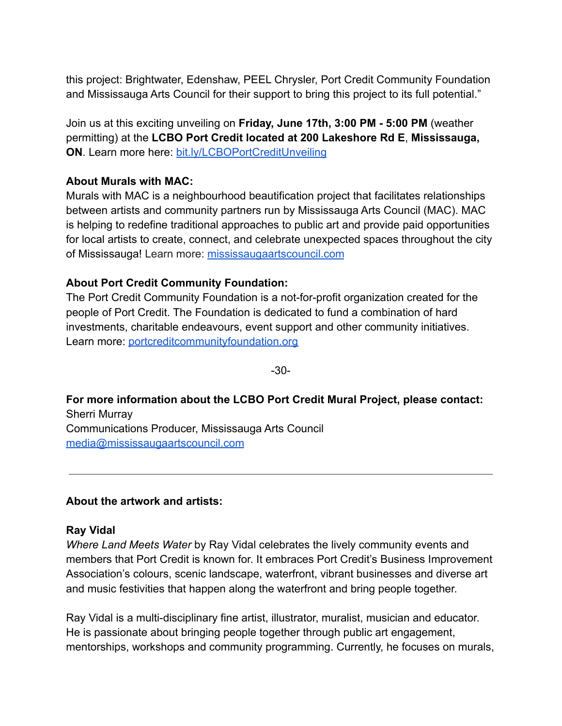this project: Brightwater, Edenshaw, PEEL Chrysler, Port Credit Community Foundation and Mississauga Arts Council for their support to bring this project to its full potential."

Join us at this exciting unveiling on **Friday, June 17th, 3:00 PM - 5:00 PM** (weather permitting) at the **LCBO Port Credit located at 200 Lakeshore Rd E**, **Mississauga, ON**. Learn more here: [bit.ly/LCBOPortCreditUnveiling](https://bit.ly/LCBOPortCreditUnveiling)

# **About Murals with MAC:**

Murals with MAC is a neighbourhood beautification project that facilitates relationships between artists and community partners run by Mississauga Arts Council (MAC). MAC is helping to redefine traditional approaches to public art and provide paid opportunities for local artists to create, connect, and celebrate unexpected spaces throughout the city of Mississauga! Learn more: [mississaugaartscouncil.com](https://www.mississaugaartscouncil.com/)

# **About Port Credit Community Foundation:**

The Port Credit Community Foundation is a not-for-profit organization created for the people of Port Credit. The Foundation is dedicated to fund a combination of hard investments, charitable endeavours, event support and other community initiatives. Learn more: [portcreditcommunityfoundation.org](https://www.portcreditcommunityfoundation.org/)

-30-

**For more information about the LCBO Port Credit Mural Project, please contact:** Sherri Murray Communications Producer, Mississauga Arts Council [media@mississaugaartscouncil.com](mailto:media@mississaugaartscouncil.co)

# **About the artwork and artists:**

#### **Ray Vidal**

*Where Land Meets Water* by Ray Vidal celebrates the lively community events and members that Port Credit is known for. It embraces Port Credit's Business Improvement Association's colours, scenic landscape, waterfront, vibrant businesses and diverse art and music festivities that happen along the waterfront and bring people together.

Ray Vidal is a multi-disciplinary fine artist, illustrator, muralist, musician and educator. He is passionate about bringing people together through public art engagement, mentorships, workshops and community programming. Currently, he focuses on murals,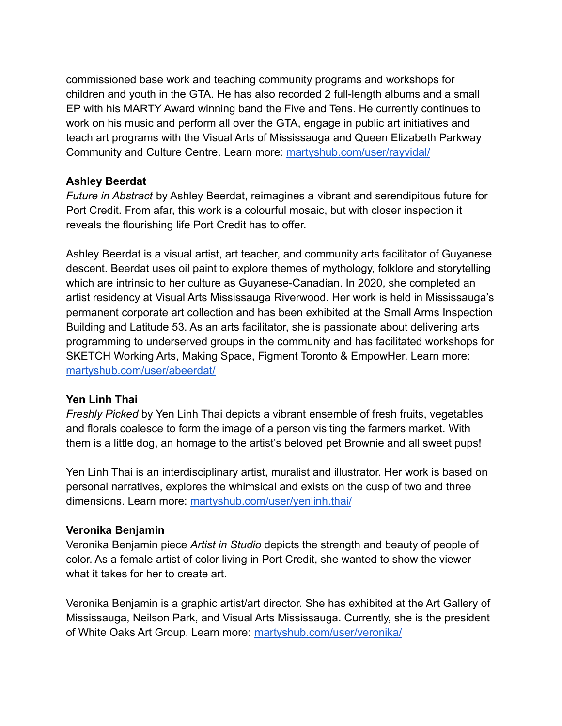commissioned base work and teaching community programs and workshops for children and youth in the GTA. He has also recorded 2 full-length albums and a small EP with his MARTY Award winning band the Five and Tens. He currently continues to work on his music and perform all over the GTA, engage in public art initiatives and teach art programs with the Visual Arts of Mississauga and Queen Elizabeth Parkway Community and Culture Centre. Learn more: [martyshub.com/user/rayvidal/](https://www.martyshub.com/user/rayvidal/)

## **Ashley Beerdat**

*Future in Abstract* by Ashley Beerdat, reimagines a vibrant and serendipitous future for Port Credit. From afar, this work is a colourful mosaic, but with closer inspection it reveals the flourishing life Port Credit has to offer.

Ashley Beerdat is a visual artist, art teacher, and community arts facilitator of Guyanese descent. Beerdat uses oil paint to explore themes of mythology, folklore and storytelling which are intrinsic to her culture as Guyanese-Canadian. In 2020, she completed an artist residency at Visual Arts Mississauga Riverwood. Her work is held in Mississauga's permanent corporate art collection and has been exhibited at the Small Arms Inspection Building and Latitude 53. As an arts facilitator, she is passionate about delivering arts programming to underserved groups in the community and has facilitated workshops for SKETCH Working Arts, Making Space, Figment Toronto & EmpowHer. Learn more: [martyshub.com/user/abeerdat/](https://www.martyshub.com/user/abeerdat/)

# **Yen Linh Thai**

*Freshly Picked* by Yen Linh Thai depicts a vibrant ensemble of fresh fruits, vegetables and florals coalesce to form the image of a person visiting the farmers market. With them is a little dog, an homage to the artist's beloved pet Brownie and all sweet pups!

Yen Linh Thai is an interdisciplinary artist, muralist and illustrator. Her work is based on personal narratives, explores the whimsical and exists on the cusp of two and three dimensions. Learn more: [martyshub.com/user/yenlinh.thai/](https://www.martyshub.com/user/yenlinh.thai/)

# **Veronika Benjamin**

Veronika Benjamin piece *Artist in Studio* depicts the strength and beauty of people of color. As a female artist of color living in Port Credit, she wanted to show the viewer what it takes for her to create art.

Veronika Benjamin is a graphic artist/art director. She has exhibited at the Art Gallery of Mississauga, Neilson Park, and Visual Arts Mississauga. Currently, she is the president of White Oaks Art Group. Learn more: [martyshub.com/user/veronika/](https://www.martyshub.com/user/veronika/)